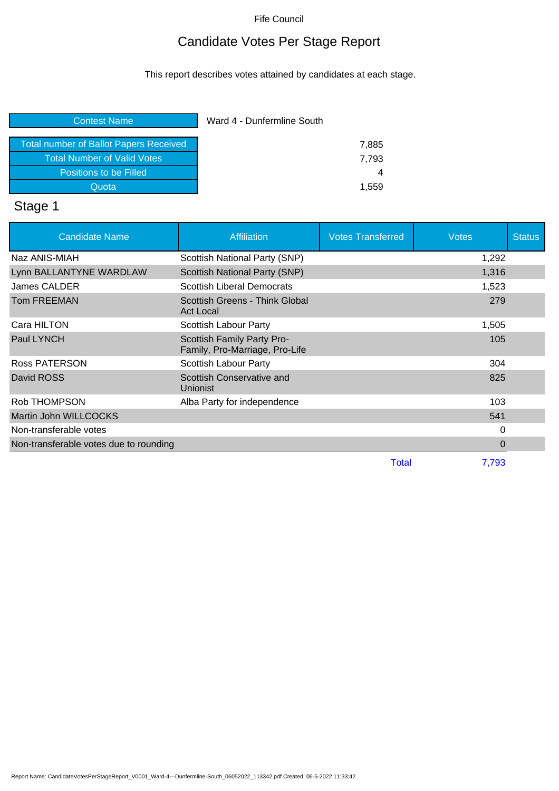# Candidate Votes Per Stage Report

This report describes votes attained by candidates at each stage.

| Ward 4 - Dunfermline South |  |
|----------------------------|--|
| 7,885                      |  |
| 7.793                      |  |
| 4                          |  |
| 1.559                      |  |
|                            |  |

# Stage 1

| <b>Candidate Name</b>                  | <b>Affiliation</b>                                           | <b>Votes Transferred</b> | <b>Votes</b> | <b>Status</b> |
|----------------------------------------|--------------------------------------------------------------|--------------------------|--------------|---------------|
| Naz ANIS-MIAH                          | Scottish National Party (SNP)                                |                          | 1,292        |               |
| Lynn BALLANTYNE WARDLAW                | Scottish National Party (SNP)                                |                          | 1,316        |               |
| James CALDER                           | <b>Scottish Liberal Democrats</b>                            |                          | 1,523        |               |
| <b>Tom FREEMAN</b>                     | Scottish Greens - Think Global<br><b>Act Local</b>           |                          | 279          |               |
| Cara HILTON                            | Scottish Labour Party                                        |                          | 1,505        |               |
| Paul LYNCH                             | Scottish Family Party Pro-<br>Family, Pro-Marriage, Pro-Life |                          | 105          |               |
| <b>Ross PATERSON</b>                   | Scottish Labour Party                                        |                          | 304          |               |
| David ROSS                             | Scottish Conservative and<br>Unionist                        |                          | 825          |               |
| <b>Rob THOMPSON</b>                    | Alba Party for independence                                  |                          | 103          |               |
| Martin John WILLCOCKS                  |                                                              |                          | 541          |               |
| Non-transferable votes                 |                                                              |                          | 0            |               |
| Non-transferable votes due to rounding |                                                              |                          | 0            |               |
|                                        |                                                              | Total                    | 7.793        |               |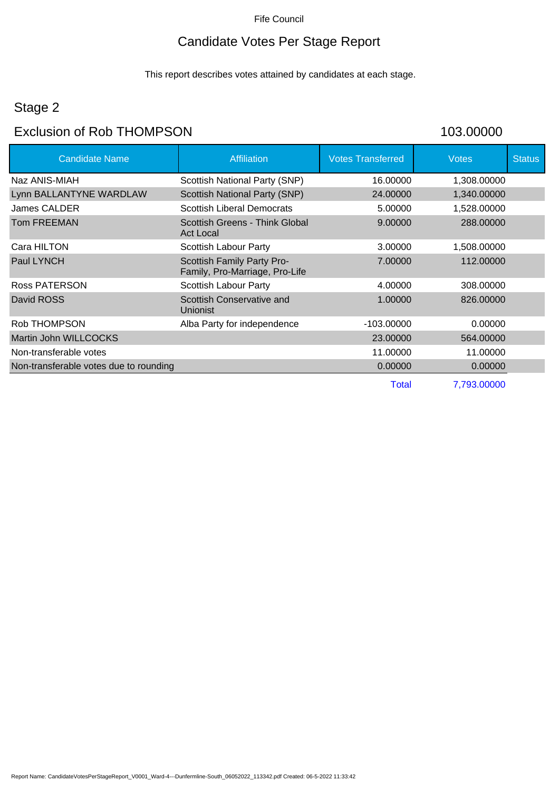# Candidate Votes Per Stage Report

This report describes votes attained by candidates at each stage.

# Stage 2

#### Exclusion of Rob THOMPSON 103.00000

| <b>Candidate Name</b>                  | <b>Affiliation</b>                                           | <b>Votes Transferred</b> | <b>Votes</b> | <b>Status</b> |
|----------------------------------------|--------------------------------------------------------------|--------------------------|--------------|---------------|
| Naz ANIS-MIAH                          | Scottish National Party (SNP)                                | 16.00000                 | 1,308.00000  |               |
| Lynn BALLANTYNE WARDLAW                | Scottish National Party (SNP)                                | 24.00000                 | 1,340.00000  |               |
| James CALDER                           | <b>Scottish Liberal Democrats</b>                            | 5.00000                  | 1,528.00000  |               |
| <b>Tom FREEMAN</b>                     | Scottish Greens - Think Global<br><b>Act Local</b>           | 9.00000                  | 288.00000    |               |
| Cara HILTON                            | Scottish Labour Party                                        | 3.00000                  | 1,508.00000  |               |
| Paul LYNCH                             | Scottish Family Party Pro-<br>Family, Pro-Marriage, Pro-Life | 7.00000                  | 112.00000    |               |
| Ross PATERSON                          | Scottish Labour Party                                        | 4.00000                  | 308.00000    |               |
| David ROSS                             | Scottish Conservative and<br><b>Unionist</b>                 | 1.00000                  | 826.00000    |               |
| Rob THOMPSON                           | Alba Party for independence                                  | -103.00000               | 0.00000      |               |
| Martin John WILLCOCKS                  |                                                              | 23.00000                 | 564.00000    |               |
| Non-transferable votes                 |                                                              | 11.00000                 | 11.00000     |               |
| Non-transferable votes due to rounding |                                                              | 0.00000                  | 0.00000      |               |
|                                        |                                                              | <b>Total</b>             | 7,793.00000  |               |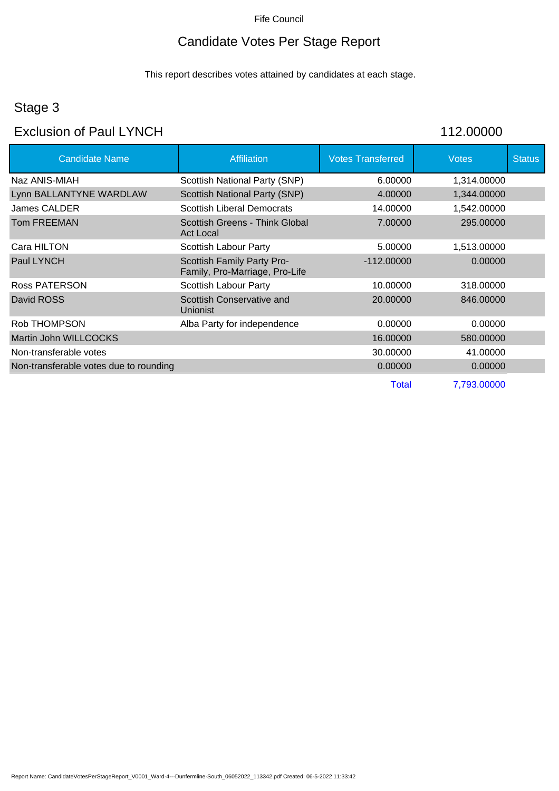# Candidate Votes Per Stage Report

This report describes votes attained by candidates at each stage.

# Stage 3

#### Exclusion of Paul LYNCH 112.00000

| <b>Candidate Name</b>                  | <b>Affiliation</b>                                           | <b>Votes Transferred</b> | <b>Votes</b> | <b>Status</b> |
|----------------------------------------|--------------------------------------------------------------|--------------------------|--------------|---------------|
| Naz ANIS-MIAH                          | Scottish National Party (SNP)                                | 6.00000                  | 1,314.00000  |               |
| Lynn BALLANTYNE WARDLAW                | Scottish National Party (SNP)                                | 4.00000                  | 1,344.00000  |               |
| James CALDER                           | <b>Scottish Liberal Democrats</b>                            | 14.00000                 | 1,542.00000  |               |
| <b>Tom FREEMAN</b>                     | Scottish Greens - Think Global<br><b>Act Local</b>           | 7.00000                  | 295,00000    |               |
| Cara HILTON                            | Scottish Labour Party                                        | 5.00000                  | 1,513.00000  |               |
| Paul LYNCH                             | Scottish Family Party Pro-<br>Family, Pro-Marriage, Pro-Life | $-112.00000$             | 0.00000      |               |
| <b>Ross PATERSON</b>                   | Scottish Labour Party                                        | 10.00000                 | 318.00000    |               |
| David ROSS                             | Scottish Conservative and<br>Unionist                        | 20,00000                 | 846,00000    |               |
| Rob THOMPSON                           | Alba Party for independence                                  | 0.00000                  | 0.00000      |               |
| Martin John WILLCOCKS                  |                                                              | 16,00000                 | 580,00000    |               |
| Non-transferable votes                 |                                                              | 30,00000                 | 41.00000     |               |
| Non-transferable votes due to rounding |                                                              | 0.00000                  | 0.00000      |               |
|                                        |                                                              | Total                    | 7,793.00000  |               |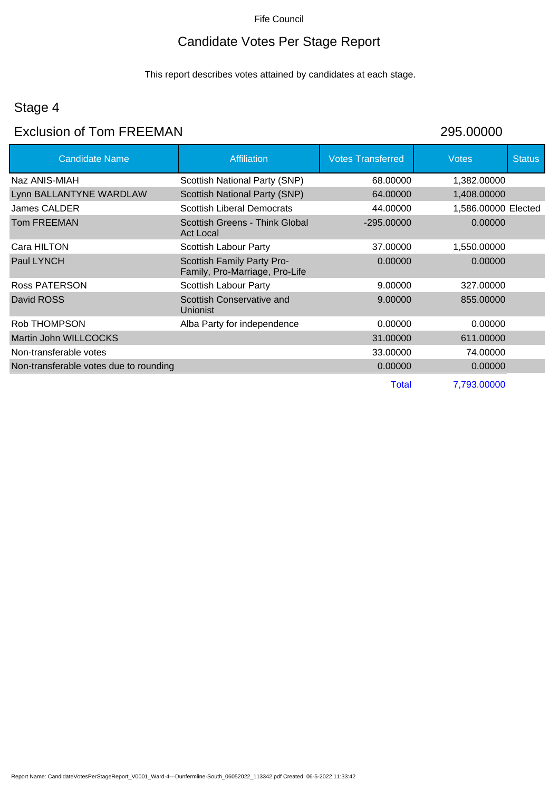# Candidate Votes Per Stage Report

This report describes votes attained by candidates at each stage.

# Stage 4

#### Exclusion of Tom FREEMAN 295.00000

| <b>Candidate Name</b>                  | <b>Affiliation</b>                                           | <b>Votes Transferred</b> | <b>Votes</b>        | <b>Status</b> |
|----------------------------------------|--------------------------------------------------------------|--------------------------|---------------------|---------------|
| Naz ANIS-MIAH                          | Scottish National Party (SNP)                                | 68.00000                 | 1,382.00000         |               |
| Lynn BALLANTYNE WARDLAW                | Scottish National Party (SNP)                                | 64.00000                 | 1,408.00000         |               |
| James CALDER                           | <b>Scottish Liberal Democrats</b>                            | 44.00000                 | 1,586.00000 Elected |               |
| Tom FREEMAN                            | Scottish Greens - Think Global<br>Act Local                  | $-295.00000$             | 0.00000             |               |
| Cara HILTON                            | Scottish Labour Party                                        | 37,00000                 | 1,550.00000         |               |
| Paul LYNCH                             | Scottish Family Party Pro-<br>Family, Pro-Marriage, Pro-Life | 0.00000                  | 0.00000             |               |
| Ross PATERSON                          | Scottish Labour Party                                        | 9.00000                  | 327.00000           |               |
| David ROSS                             | Scottish Conservative and<br>Unionist                        | 9.00000                  | 855.00000           |               |
| Rob THOMPSON                           | Alba Party for independence                                  | 0.00000                  | 0.00000             |               |
| Martin John WILLCOCKS                  |                                                              | 31.00000                 | 611.00000           |               |
| Non-transferable votes                 |                                                              | 33.00000                 | 74.00000            |               |
| Non-transferable votes due to rounding |                                                              | 0.00000                  | 0.00000             |               |
|                                        |                                                              | <b>Total</b>             | 7,793.00000         |               |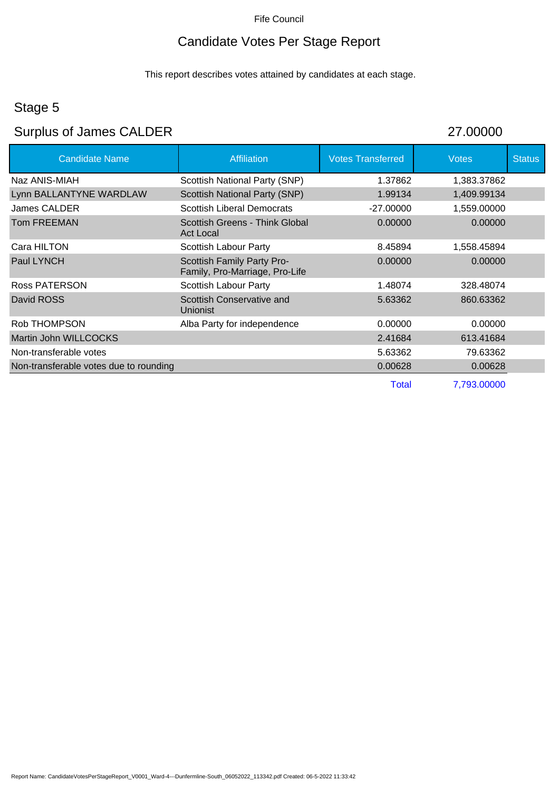# Candidate Votes Per Stage Report

This report describes votes attained by candidates at each stage.

# Stage 5

# Surplus of James CALDER 27.00000

| <b>Candidate Name</b>                  | <b>Affiliation</b>                                           | <b>Votes Transferred</b> | <b>Votes</b> | <b>Status</b> |
|----------------------------------------|--------------------------------------------------------------|--------------------------|--------------|---------------|
| Naz ANIS-MIAH                          | Scottish National Party (SNP)                                | 1.37862                  | 1,383.37862  |               |
| Lynn BALLANTYNE WARDLAW                | Scottish National Party (SNP)                                | 1.99134                  | 1,409.99134  |               |
| <b>James CALDER</b>                    | <b>Scottish Liberal Democrats</b>                            | $-27.00000$              | 1,559.00000  |               |
| <b>Tom FREEMAN</b>                     | Scottish Greens - Think Global<br><b>Act Local</b>           | 0.00000                  | 0.00000      |               |
| Cara HILTON                            | Scottish Labour Party                                        | 8.45894                  | 1,558.45894  |               |
| Paul LYNCH                             | Scottish Family Party Pro-<br>Family, Pro-Marriage, Pro-Life | 0.00000                  | 0.00000      |               |
| <b>Ross PATERSON</b>                   | Scottish Labour Party                                        | 1.48074                  | 328.48074    |               |
| David ROSS                             | Scottish Conservative and<br><b>Unionist</b>                 | 5.63362                  | 860.63362    |               |
| Rob THOMPSON                           | Alba Party for independence                                  | 0.00000                  | 0.00000      |               |
| Martin John WILLCOCKS                  |                                                              | 2.41684                  | 613.41684    |               |
| Non-transferable votes                 |                                                              | 5.63362                  | 79.63362     |               |
| Non-transferable votes due to rounding |                                                              | 0.00628                  | 0.00628      |               |
|                                        |                                                              | Total                    | 7,793.00000  |               |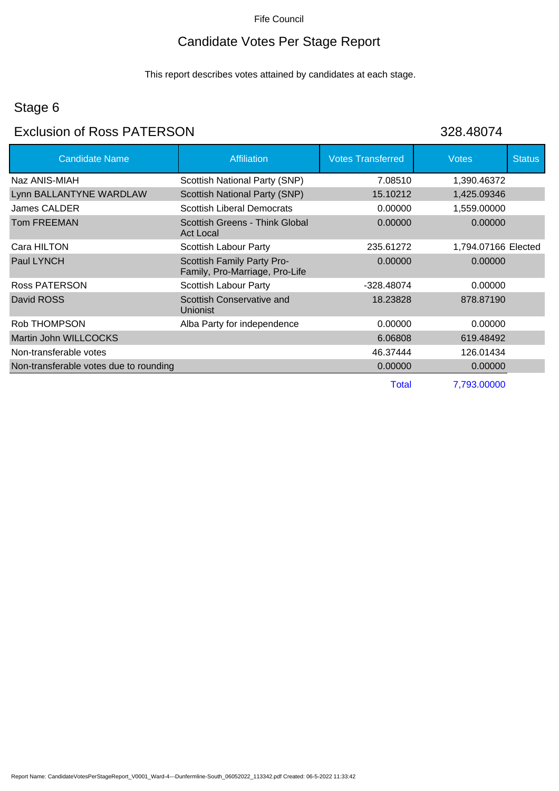# Candidate Votes Per Stage Report

This report describes votes attained by candidates at each stage.

# Stage 6

#### Exclusion of Ross PATERSON 328.48074

| <b>Candidate Name</b>                  | Affiliation                                                  | <b>Votes Transferred</b> | <b>Votes</b>        | <b>Status</b> |
|----------------------------------------|--------------------------------------------------------------|--------------------------|---------------------|---------------|
| Naz ANIS-MIAH                          | Scottish National Party (SNP)                                | 7.08510                  | 1,390.46372         |               |
| Lynn BALLANTYNE WARDLAW                | Scottish National Party (SNP)                                | 15.10212                 | 1,425.09346         |               |
| James CALDER                           | <b>Scottish Liberal Democrats</b>                            | 0.00000                  | 1,559.00000         |               |
| <b>Tom FREEMAN</b>                     | Scottish Greens - Think Global<br><b>Act Local</b>           | 0.00000                  | 0.00000             |               |
| Cara HILTON                            | Scottish Labour Party                                        | 235.61272                | 1,794.07166 Elected |               |
| Paul LYNCH                             | Scottish Family Party Pro-<br>Family, Pro-Marriage, Pro-Life | 0.00000                  | 0.00000             |               |
| <b>Ross PATERSON</b>                   | Scottish Labour Party                                        | -328.48074               | 0.00000             |               |
| David ROSS                             | Scottish Conservative and<br>Unionist                        | 18.23828                 | 878.87190           |               |
| Rob THOMPSON                           | Alba Party for independence                                  | 0.00000                  | 0.00000             |               |
| Martin John WILLCOCKS                  |                                                              | 6.06808                  | 619.48492           |               |
| Non-transferable votes                 |                                                              | 46.37444                 | 126.01434           |               |
| Non-transferable votes due to rounding |                                                              | 0.00000                  | 0.00000             |               |
|                                        |                                                              | Total                    | 7.793.00000         |               |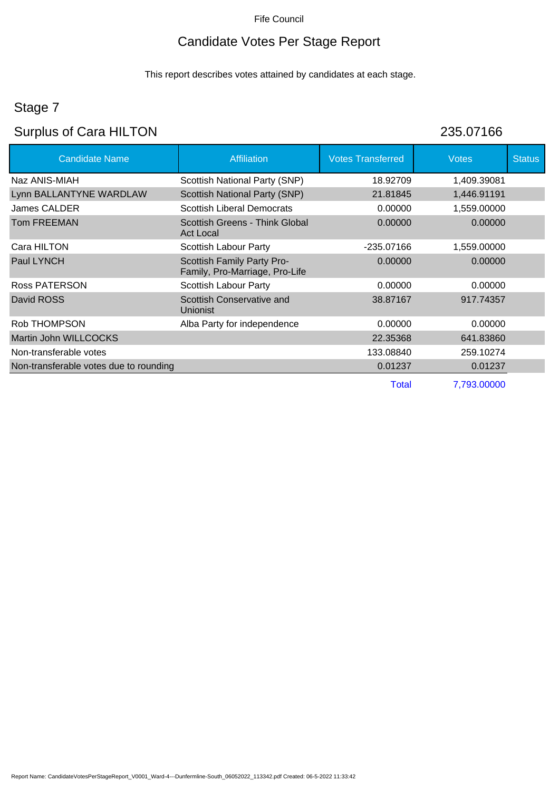# Candidate Votes Per Stage Report

This report describes votes attained by candidates at each stage.

# Stage 7

# Surplus of Cara HILTON 235.07166

| <b>Candidate Name</b>                  | <b>Affiliation</b>                                           | <b>Votes Transferred</b> | <b>Votes</b> | <b>Status</b> |
|----------------------------------------|--------------------------------------------------------------|--------------------------|--------------|---------------|
| Naz ANIS-MIAH                          | Scottish National Party (SNP)                                | 18.92709                 | 1,409.39081  |               |
| Lynn BALLANTYNE WARDLAW                | <b>Scottish National Party (SNP)</b>                         | 21.81845                 | 1,446.91191  |               |
| James CALDER                           | <b>Scottish Liberal Democrats</b>                            | 0.00000                  | 1,559.00000  |               |
| <b>Tom FREEMAN</b>                     | Scottish Greens - Think Global<br><b>Act Local</b>           | 0.00000                  | 0.00000      |               |
| Cara HILTON                            | Scottish Labour Party                                        | -235.07166               | 1,559.00000  |               |
| Paul LYNCH                             | Scottish Family Party Pro-<br>Family, Pro-Marriage, Pro-Life | 0.00000                  | 0.00000      |               |
| Ross PATERSON                          | Scottish Labour Party                                        | 0.00000                  | 0.00000      |               |
| David ROSS                             | Scottish Conservative and<br>Unionist                        | 38.87167                 | 917.74357    |               |
| Rob THOMPSON                           | Alba Party for independence                                  | 0.00000                  | 0.00000      |               |
| Martin John WILLCOCKS                  |                                                              | 22,35368                 | 641.83860    |               |
| Non-transferable votes                 |                                                              | 133.08840                | 259.10274    |               |
| Non-transferable votes due to rounding |                                                              | 0.01237                  | 0.01237      |               |
|                                        |                                                              | Total                    | 7,793.00000  |               |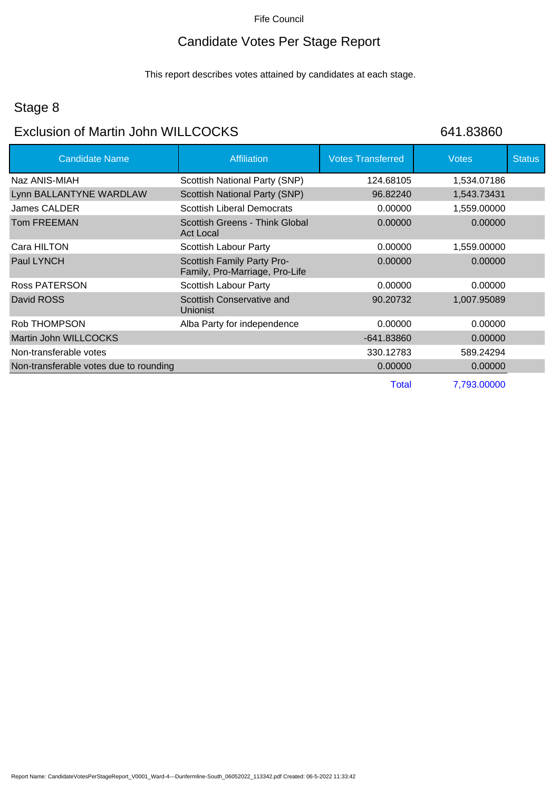# Candidate Votes Per Stage Report

This report describes votes attained by candidates at each stage.

# Stage 8

#### Exclusion of Martin John WILLCOCKS 641.83860

| <b>Candidate Name</b>                  | <b>Affiliation</b>                                           | <b>Votes Transferred</b> | <b>Votes</b> | <b>Status</b> |
|----------------------------------------|--------------------------------------------------------------|--------------------------|--------------|---------------|
| Naz ANIS-MIAH                          | Scottish National Party (SNP)                                | 124.68105                | 1,534.07186  |               |
| Lynn BALLANTYNE WARDLAW                | <b>Scottish National Party (SNP)</b>                         | 96.82240                 | 1,543.73431  |               |
| James CALDER                           | <b>Scottish Liberal Democrats</b>                            | 0.00000                  | 1,559.00000  |               |
| <b>Tom FREEMAN</b>                     | Scottish Greens - Think Global<br><b>Act Local</b>           | 0.00000                  | 0.00000      |               |
| Cara HILTON                            | Scottish Labour Party                                        | 0.00000                  | 1,559.00000  |               |
| Paul LYNCH                             | Scottish Family Party Pro-<br>Family, Pro-Marriage, Pro-Life | 0.00000                  | 0.00000      |               |
| Ross PATERSON                          | Scottish Labour Party                                        | 0.00000                  | 0.00000      |               |
| David ROSS                             | Scottish Conservative and<br>Unionist                        | 90.20732                 | 1,007.95089  |               |
| Rob THOMPSON                           | Alba Party for independence                                  | 0.00000                  | 0.00000      |               |
| Martin John WILLCOCKS                  |                                                              | -641.83860               | 0.00000      |               |
| Non-transferable votes                 |                                                              | 330.12783                | 589.24294    |               |
| Non-transferable votes due to rounding |                                                              | 0.00000                  | 0.00000      |               |
|                                        |                                                              | Total                    | 7,793.00000  |               |